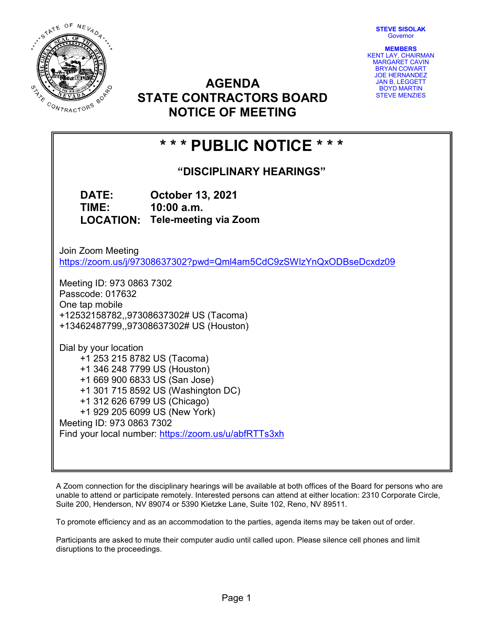STEVE SISOLAK **Governor** 



AGENDA STATE CONTRACTORS BOARD NOTICE OF MEETING

MEMBERS KENT LAY, CHAIRMAN MARGARET CAVIN BRYAN COWART JOE HERNANDEZ JAN B. LEGGETT BOYD MARTIN STEVE MENZIES

# \* \* \* PUBLIC NOTICE \* \* \*

"DISCIPLINARY HEARINGS"

DATE: October 13, 2021 TIME: 10:00 a.m. LOCATION: Tele-meeting via Zoom

Join Zoom Meeting https://zoom.us/j/97308637302?pwd=Qml4am5CdC9zSWlzYnQxODBseDcxdz09

Meeting ID: 973 0863 7302 Passcode: 017632 One tap mobile +12532158782,,97308637302# US (Tacoma) +13462487799,,97308637302# US (Houston)

Dial by your location +1 253 215 8782 US (Tacoma) +1 346 248 7799 US (Houston) +1 669 900 6833 US (San Jose) +1 301 715 8592 US (Washington DC) +1 312 626 6799 US (Chicago) +1 929 205 6099 US (New York) Meeting ID: 973 0863 7302 Find your local number: https://zoom.us/u/abfRTTs3xh

A Zoom connection for the disciplinary hearings will be available at both offices of the Board for persons who are unable to attend or participate remotely. Interested persons can attend at either location: 2310 Corporate Circle, Suite 200, Henderson, NV 89074 or 5390 Kietzke Lane, Suite 102, Reno, NV 89511.

To promote efficiency and as an accommodation to the parties, agenda items may be taken out of order.

Participants are asked to mute their computer audio until called upon. Please silence cell phones and limit disruptions to the proceedings.